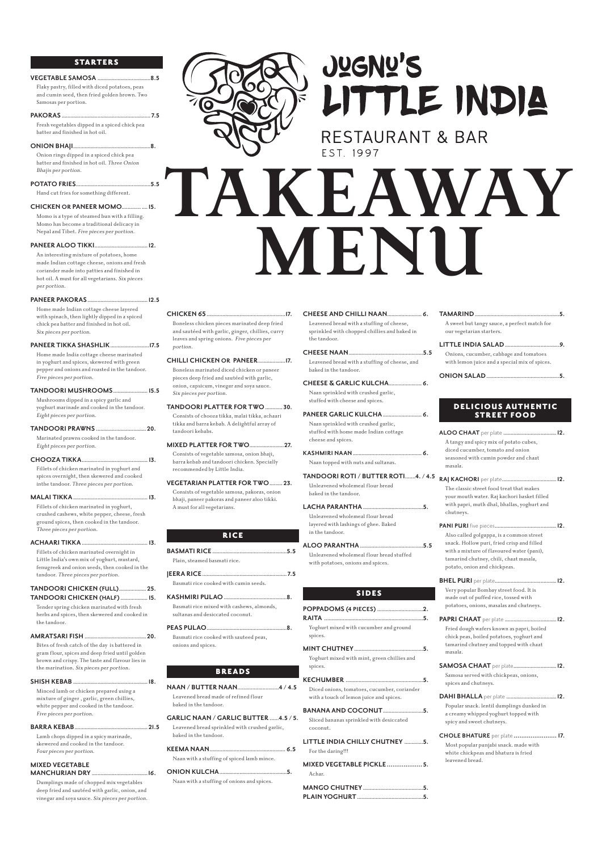# STARTERS

# **VEGETABLE SAMOSA .....................................8.5**

Flaky pastry, filled with diced potatoes, peas and cumin seed, then fried golden brown. Two Samosas per portion.

# **PAKORAS .............................................................. 7.5**

Fresh vegetables dipped in a spiced chick pea batter and finished in hot oil.

## **ONION BHAJI......................................................8.**

Onion rings dipped in a spiced chick pea batter and finished in hot oil. Three Onion Bhajis per portion.

# **POTATO FRIES....................................................5.5**

Hand cut fries for something different.

# **CHICKEN OR PANEER MOMO............. ....15.**

Momo is a type of steamed bun with a filling. Momo has become a traditional delicacy in Nepal and Tibet. Five pieces per portion.

**PANEER ALOO TIKKI.....................................12.**

An interesting mixture of potatoes, home made Indian cottage cheese, onions and fresh coriander made into patties and finished in hot oil. A must for all vegetarians. Six pieces per portion.

**PANEER PAKORAS..........................................12.5**

Home made Indian cottage cheese layered with spinach, then lightly dipped in a spiced chick pea batter and finished in hot oil. Six pieces per portion.

**PANEER TIKKA SHASHLIK...........................17.5** Home made India cottage cheese marinated

in yoghurt and spices, skewered with green pepper and onions and roasted in the tandoor. Five pieces per portion.

# **TANDOORI MUSHROOMS........................ 15.5**

Mushrooms dipped in a spicy garlic and yoghurt marinade and cooked in the tandoor. Eight pieces per portion.

**TANDOORI PRAWNS ................................... 20.**

Marinated prawns cooked in the tandoor. Eight pieces per portion.

- **CHOOZA TIKKA.............................................. 13.** Fillets of chicken marinated in yoghurt and spices overnight, then skewered and cooked inthe tandoor. Three pieces per portion.
- **MALAI TIKKA.................................................... 13.** Fillets of chicken marinated in yoghurt, crushed cashews, white pepper, cheese, fresh ground spices, then cooked in the tandoor.

| Three pieces per portion.                                   |
|-------------------------------------------------------------|
|                                                             |
| Fillets of chicken marinated overnight in                   |
| Little India's own mix of yoghurt, mustard,                 |
| fenugreek and onion seeds, then cooked in the               |
| tandoor. Three pieces per portion.                          |
| TANDOORI CHICKEN (FULL) 25.<br>TANDOORI CHICKEN (HALF)  15. |

Tender spring chicken marinated with fresh herbs and spices, then skewered and cooked in the tandoor.

**AMRATSARI FISH ........................................... 20.**



# **JUGNU'S** LITTLE INDIA

**RESTAURANT & BAR** 

Bites of fresh catch of the day is battered in gram flour, spices and deep fried until golden brown and crispy. The taste and flavour lies in the marination. Six pieces per portion.

#### **SHISH KEBAB ....................................................18.**

Minced lamb or chicken prepared using a mixture of ginger , garlic, green chillies, white pepper and cooked in the tandoor. Five pieces per portion.

#### **BARRA KEBAB................................................... 21.5**

Lamb chops dipped in a spicy marinade, skewered and cooked in the tandoor. Four pieces per portion.

# **MIXED VEGETABLE MANCHURIAN DRY .......................................16.**

Dumplings made of chopped mix vegetables deep fried and sautéed with garlic, onion, and vinegar and soya sauce. Six pieces per portion.

# **CHICKEN 65.......................................................17.**

Boneless chicken pieces marinated deep fried and sautéed with garlic, ginger, chillies, curry leaves and spring onions. Five pieces per portion.

# **CHILLI CHICKEN OR PANEER...................17.** Boneless marinated diced chicken or paneer pieces deep fried and sautéed with garlic, onion, capsicum, vinegar and soya sauce. Six pieces per portion.

**TANDOORI PLATTER FOR TWO............ 30.** Consists of chooza tikka, malai tikka, achaari tikka and barra kebab. A delightful array of tandoori kebabs.

**MIXED PLATTER FOR TWO........................27.** Consists of vegetable samosa, onion bhaji, barra kebab and tandoori chicken. Specially recommended by Little India.

**VEGETARIAN PLATTER FOR TWO......... 23.** Consists of vegetable samosa, pakoras, onion bhaji, paneer pakoras and paneer aloo tikki. A must for all vegetarians.

# RICE

# WAWAY **MENU**

| Plain, steamed basmati rice.                       |  |
|----------------------------------------------------|--|
|                                                    |  |
| Basmati rice cooked with cumin seeds.              |  |
|                                                    |  |
| $\mathbf{D}$ is the set of the set of $\mathbf{I}$ |  |

Basmati rice mixed with cashews, almonds, sultanas and desiccated coconut.

**PEAS PULAO........................................................8.** Basmati rice cooked with sauteed peas,

onions and spices.

# BREADS

**NAAN / BUTTER NAAN............................4 / 4.5** Leavened bread made of refined flour baked in the tandoor.

# **GARLIC NAAN / GARLIC BUTTER ......4.5 / 5.**

Leavened bread sprinkled with crushed garlic, baked in the tandoor.

# **KEEMA NAAN..................................................... 6.5**

Naan with a stuffing of spiced lamb mince.

**ONION KULCHA...............................................5.**

Naan with a stuffing of onions and spices.

- **CHEESE AND CHILLI NAAN........................ 6.** Leavened bread with a stuffing of cheese, sprinkled with chopped chillies and baked in the tandoor.
- **CHEESE NAAN....................................................5.5** Leavened bread with a stuffing of cheese, and baked in the tandoor.
- **CHEESE & GARLIC KULCHA....................... 6.** Naan sprinkled with crushed garlic, stuffed with cheese and spices.
- **PANEER GARLIC KULCHA........................... 6.** Naan sprinkled with crushed garlic, stuffed with home made Indian cottage cheese and spices.
- **KASHMIRI NAAN................................................ 6.** Naan topped with nuts and sultanas.
- **TANDOORI ROTI / BUTTER ROTI.......4. / 4.5** Unleavened wholemeal flour bread baked in the tandoor.
- **LACHA PARANTHA..........................................5.** Unleavened wholemeal flour bread layered with lashings of ghee. Baked in the tandoor.

# **ALOO PARANTHA ............................................5.5**

Unleavened wholemeal flour bread stuffed with potatoes, onions and spices.

# SIDES

- **POPPADOMS (4 PIECES)................................2. RAITA .....................................................................5.** Yoghurt mixed with cucumber and ground
	-

spices.

### **MINT CHUTNEY................................................5.**

Yoghurt mixed with mint, green chillies and spices.

# **KECHUMBER ......................................................5.**

Diced onions, tomatoes, cucumber, coriander with a touch of lemon juice and spices.

# **BANANA AND COCONUT............................5.**

Sliced bananas sprinkled with desiccated coconut.

# **LITTLE INDIA CHILLY CHUTNEY .............5.**

For the daring!!!

```
MIXED VEGETABLE PICKLE................... 5.
Achar.
```
**MANGO CHUTNEY..........................................5. PLAIN YOGHURT..............................................5.**

- **TAMARIND...........................................................5.** A sweet but tangy sauce, a perfect match for our vegetarian starters.
- **LITTLE INDIA SALAD......................................9.** Onions, cucumber, cabbage and tomatoes with lemon juice and a special mix of spices.

# **ONION SALAD...................................................5.**

# DELICIOUS AUTHENTIC STREET FOOD

- **ALOO CHAAT** per plate **.....................................12.** A tangy and spicy mix of potato cubes, diced cucumber, tomato and onion seasoned with cumin powder and chaat masala.
- **RAJ KACHORI** per plate**......................................12.**  The classic street food treat that makes your mouth water. Raj kachori basket filled with papri, muth dhal, bhallas, yoghurt and chutneys.
- **PANI PURI** five pieces**...........................................12.**  Also called golgappa, is a common street snack. Hollow puri, fried crisp and filled with a mixture of flavoured water (pani), tamarind chutney, chili, chaat masala, potato, onion and chickpeas.
- **BHEL PURI** per plate**...........................................12.**  Very popular Bombay street food. It is made out of puffed rice, tossed with potatoes, onions, masalas and chutneys.
- **PAPRI CHAAT** per plate **....................................12.**  Fried dough wafers known as papri, boiled chick peas, boiled potatoes, yoghurt and

tamarind chutney and topped with chaat masala.

**SAMOSA CHAAT** per plate**..............................12.**  Samosa served with chickpeas, onions, spices and chutneys.

**DAHI BHALLA** per plate **...................................12.** 

Popular snack. lentil dumplings dunked in a creamy whipped yoghurt topped with spicy and sweet chutneys.

**CHOLE BHATURE** per plate **....................... 17.**  Most popular punjabi snack. made with white chickpeas and bhatura is fried leavened bread.